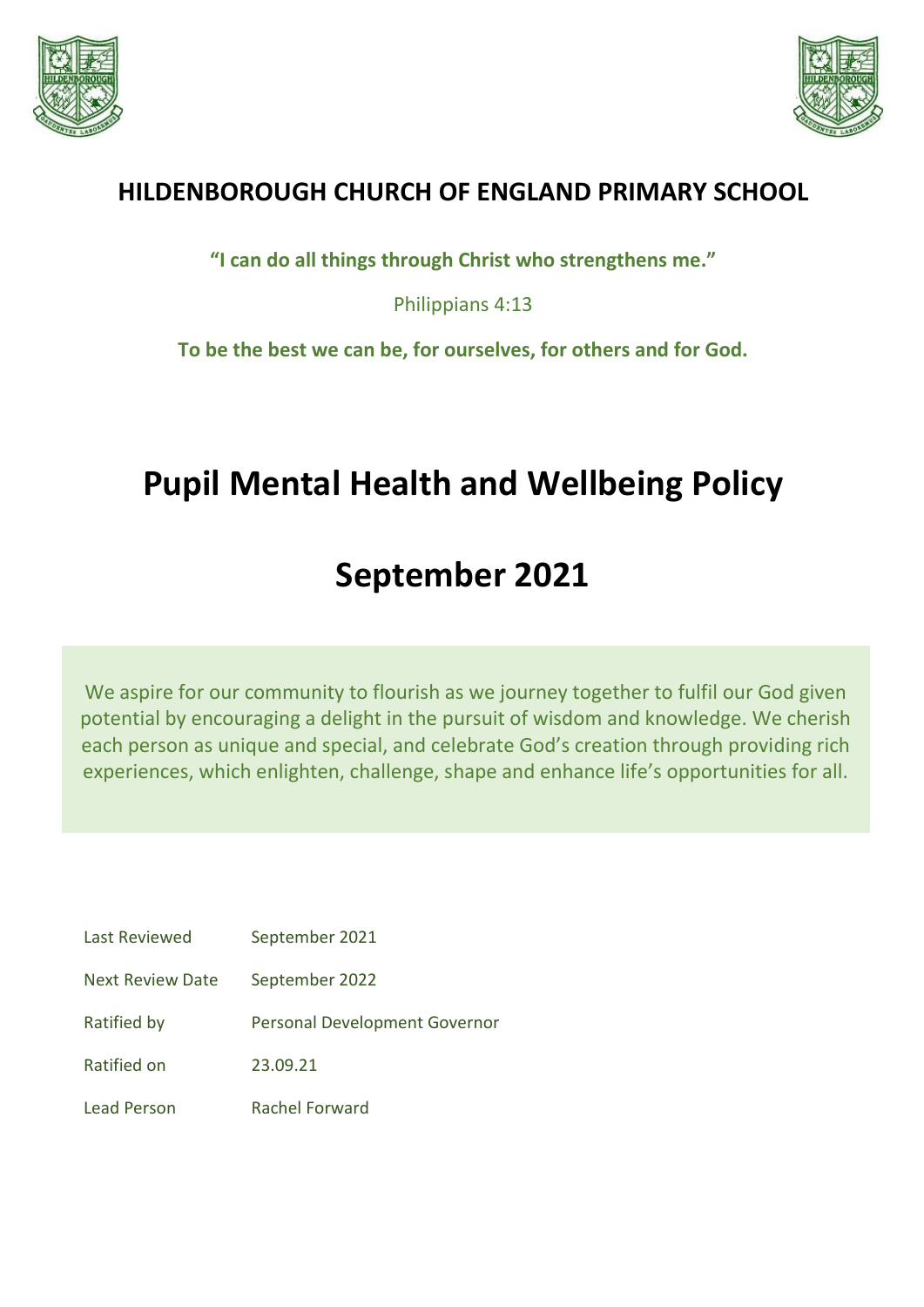



# **HILDENBOROUGH CHURCH OF ENGLAND PRIMARY SCHOOL**

**"I can do all things through Christ who strengthens me."**

Philippians 4:13

**To be the best we can be, for ourselves, for others and for God.**

# **Pupil Mental Health and Wellbeing Policy**

# **September 2021**

We aspire for our community to flourish as we journey together to fulfil our God given potential by encouraging a delight in the pursuit of wisdom and knowledge. We cherish each person as unique and special, and celebrate God's creation through providing rich experiences, which enlighten, challenge, shape and enhance life's opportunities for all.

| Last Reviewed           | September 2021                |
|-------------------------|-------------------------------|
| <b>Next Review Date</b> | September 2022                |
| Ratified by             | Personal Development Governor |
| Ratified on             | 23.09.21                      |
| Lead Person             | Rachel Forward                |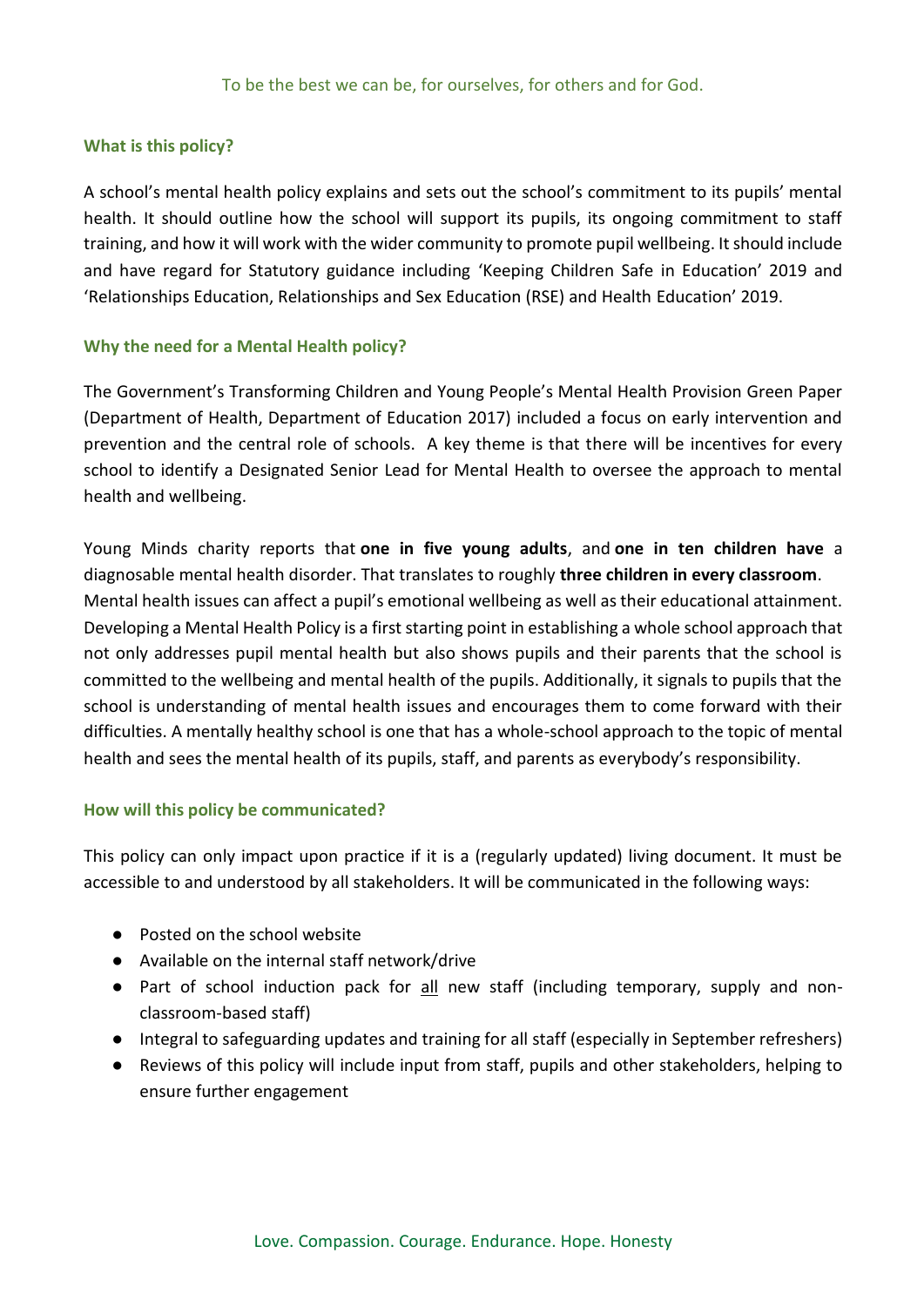#### **What is this policy?**

A school's mental health policy explains and sets out the school's commitment to its pupils' mental health. It should outline how the school will support its pupils, its ongoing commitment to staff training, and how it will work with the wider community to promote pupil wellbeing. It should include and have regard for Statutory guidance including 'Keeping Children Safe in Education' 2019 and 'Relationships Education, Relationships and Sex Education (RSE) and Health Education' 2019.

#### **Why the need for a Mental Health policy?**

The Government's Transforming Children and Young People's Mental Health Provision Green Paper (Department of Health, Department of Education 2017) included a focus on early intervention and prevention and the central role of schools. A key theme is that there will be incentives for every school to identify a Designated Senior Lead for Mental Health to oversee the approach to mental health and wellbeing.

Young Minds charity reports that **one in five young adults**, and **one in ten children have** a diagnosable mental health disorder. That translates to roughly **three children in every classroom**. Mental health issues can affect a pupil's emotional wellbeing as well as their educational attainment. Developing a Mental Health Policy is a first starting point in establishing a whole school approach that not only addresses pupil mental health but also shows pupils and their parents that the school is committed to the wellbeing and mental health of the pupils. Additionally, it signals to pupils that the school is understanding of mental health issues and encourages them to come forward with their difficulties. A mentally healthy school is one that has a whole-school approach to the topic of mental health and sees the mental health of its pupils, staff, and parents as everybody's responsibility.

#### **How will this policy be communicated?**

This policy can only impact upon practice if it is a (regularly updated) living document. It must be accessible to and understood by all stakeholders. It will be communicated in the following ways:

- Posted on the school website
- Available on the internal staff network/drive
- Part of school induction pack for all new staff (including temporary, supply and nonclassroom-based staff)
- Integral to safeguarding updates and training for all staff (especially in September refreshers)
- Reviews of this policy will include input from staff, pupils and other stakeholders, helping to ensure further engagement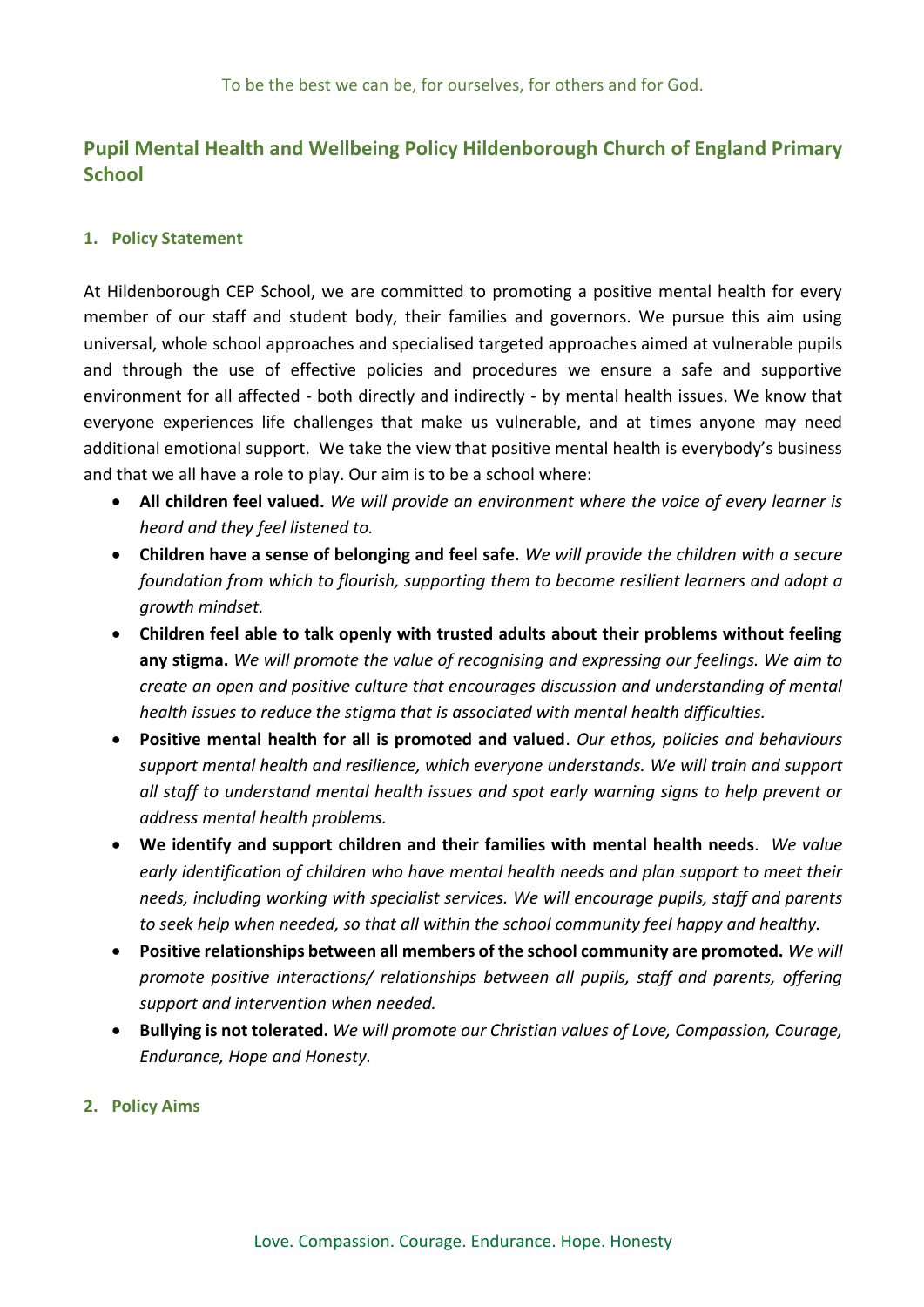### **Pupil Mental Health and Wellbeing Policy Hildenborough Church of England Primary School**

#### **1. Policy Statement**

At Hildenborough CEP School, we are committed to promoting a positive mental health for every member of our staff and student body, their families and governors. We pursue this aim using universal, whole school approaches and specialised targeted approaches aimed at vulnerable pupils and through the use of effective policies and procedures we ensure a safe and supportive environment for all affected - both directly and indirectly - by mental health issues. We know that everyone experiences life challenges that make us vulnerable, and at times anyone may need additional emotional support. We take the view that positive mental health is everybody's business and that we all have a role to play. Our aim is to be a school where:

- **All children feel valued.** *We will provide an environment where the voice of every learner is heard and they feel listened to.*
- **Children have a sense of belonging and feel safe.** *We will provide the children with a secure foundation from which to flourish, supporting them to become resilient learners and adopt a growth mindset.*
- **Children feel able to talk openly with trusted adults about their problems without feeling any stigma.** *We will promote the value of recognising and expressing our feelings. We aim to create an open and positive culture that encourages discussion and understanding of mental health issues to reduce the stigma that is associated with mental health difficulties.*
- **Positive mental health for all is promoted and valued**. *Our ethos, policies and behaviours support mental health and resilience, which everyone understands. We will train and support all staff to understand mental health issues and spot early warning signs to help prevent or address mental health problems.*
- **We identify and support children and their families with mental health needs**. *We value early identification of children who have mental health needs and plan support to meet their needs, including working with specialist services. We will encourage pupils, staff and parents to seek help when needed, so that all within the school community feel happy and healthy.*
- **Positive relationships between all members of the school community are promoted.** *We will promote positive interactions/ relationships between all pupils, staff and parents, offering support and intervention when needed.*
- **Bullying is not tolerated.** *We will promote our Christian values of Love, Compassion, Courage, Endurance, Hope and Honesty.*
- **2. Policy Aims**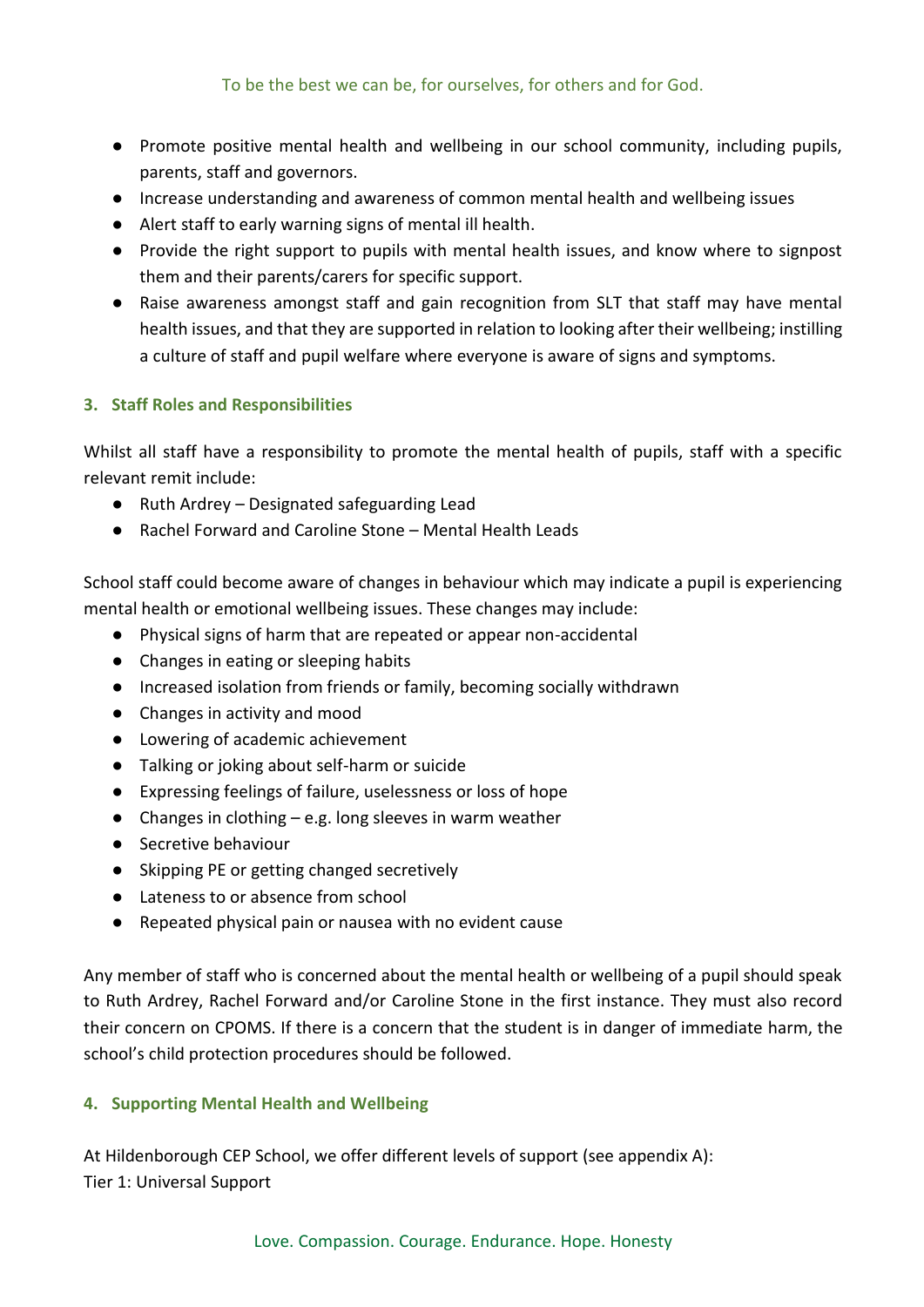- Promote positive mental health and wellbeing in our school community, including pupils, parents, staff and governors.
- Increase understanding and awareness of common mental health and wellbeing issues
- Alert staff to early warning signs of mental ill health.
- Provide the right support to pupils with mental health issues, and know where to signpost them and their parents/carers for specific support.
- Raise awareness amongst staff and gain recognition from SLT that staff may have mental health issues, and that they are supported in relation to looking after their wellbeing; instilling a culture of staff and pupil welfare where everyone is aware of signs and symptoms.

#### **3. Staff Roles and Responsibilities**

Whilst all staff have a responsibility to promote the mental health of pupils, staff with a specific relevant remit include:

- Ruth Ardrey Designated safeguarding Lead
- Rachel Forward and Caroline Stone Mental Health Leads

School staff could become aware of changes in behaviour which may indicate a pupil is experiencing mental health or emotional wellbeing issues. These changes may include:

- Physical signs of harm that are repeated or appear non-accidental
- Changes in eating or sleeping habits
- Increased isolation from friends or family, becoming socially withdrawn
- Changes in activity and mood
- Lowering of academic achievement
- Talking or joking about self-harm or suicide
- Expressing feelings of failure, uselessness or loss of hope
- Changes in clothing  $-e.g.$  long sleeves in warm weather
- Secretive behaviour
- Skipping PE or getting changed secretively
- Lateness to or absence from school
- Repeated physical pain or nausea with no evident cause

Any member of staff who is concerned about the mental health or wellbeing of a pupil should speak to Ruth Ardrey, Rachel Forward and/or Caroline Stone in the first instance. They must also record their concern on CPOMS. If there is a concern that the student is in danger of immediate harm, the school's child protection procedures should be followed.

#### **4. Supporting Mental Health and Wellbeing**

At Hildenborough CEP School, we offer different levels of support (see appendix A): Tier 1: Universal Support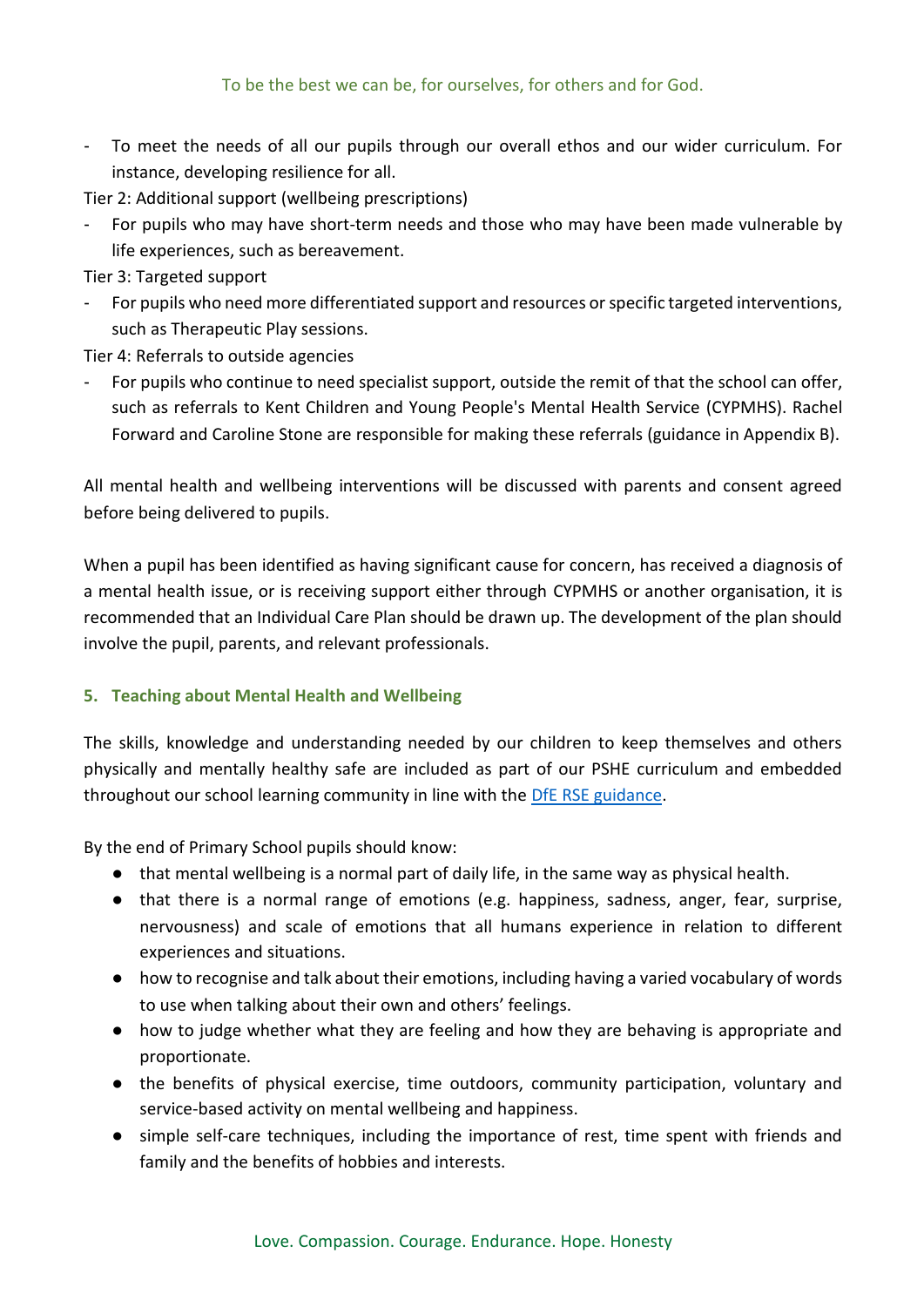To meet the needs of all our pupils through our overall ethos and our wider curriculum. For instance, developing resilience for all.

Tier 2: Additional support (wellbeing prescriptions)

For pupils who may have short-term needs and those who may have been made vulnerable by life experiences, such as bereavement.

Tier 3: Targeted support

- For pupils who need more differentiated support and resources or specific targeted interventions, such as Therapeutic Play sessions.

Tier 4: Referrals to outside agencies

For pupils who continue to need specialist support, outside the remit of that the school can offer, such as referrals to Kent Children and Young People's Mental Health Service (CYPMHS). Rachel Forward and Caroline Stone are responsible for making these referrals (guidance in Appendix B).

All mental health and wellbeing interventions will be discussed with parents and consent agreed before being delivered to pupils.

When a pupil has been identified as having significant cause for concern, has received a diagnosis of a mental health issue, or is receiving support either through CYPMHS or another organisation, it is recommended that an Individual Care Plan should be drawn up. The development of the plan should involve the pupil, parents, and relevant professionals.

#### **5. Teaching about Mental Health and Wellbeing**

The skills, knowledge and understanding needed by our children to keep themselves and others physically and mentally healthy safe are included as part of our PSHE curriculum and embedded throughout our school learning community in line with the [DfE RSE guidance.](https://assets.publishing.service.gov.uk/government/uploads/system/uploads/attachment_data/file/781150/Draft_guidance_Relationships_Education__Relationships_and_Sex_Education__RSE__and_Health_Education2.pdf)

By the end of Primary School pupils should know:

- that mental wellbeing is a normal part of daily life, in the same way as physical health.
- that there is a normal range of emotions (e.g. happiness, sadness, anger, fear, surprise, nervousness) and scale of emotions that all humans experience in relation to different experiences and situations.
- how to recognise and talk about their emotions, including having a varied vocabulary of words to use when talking about their own and others' feelings.
- how to judge whether what they are feeling and how they are behaving is appropriate and proportionate.
- the benefits of physical exercise, time outdoors, community participation, voluntary and service-based activity on mental wellbeing and happiness.
- simple self-care techniques, including the importance of rest, time spent with friends and family and the benefits of hobbies and interests.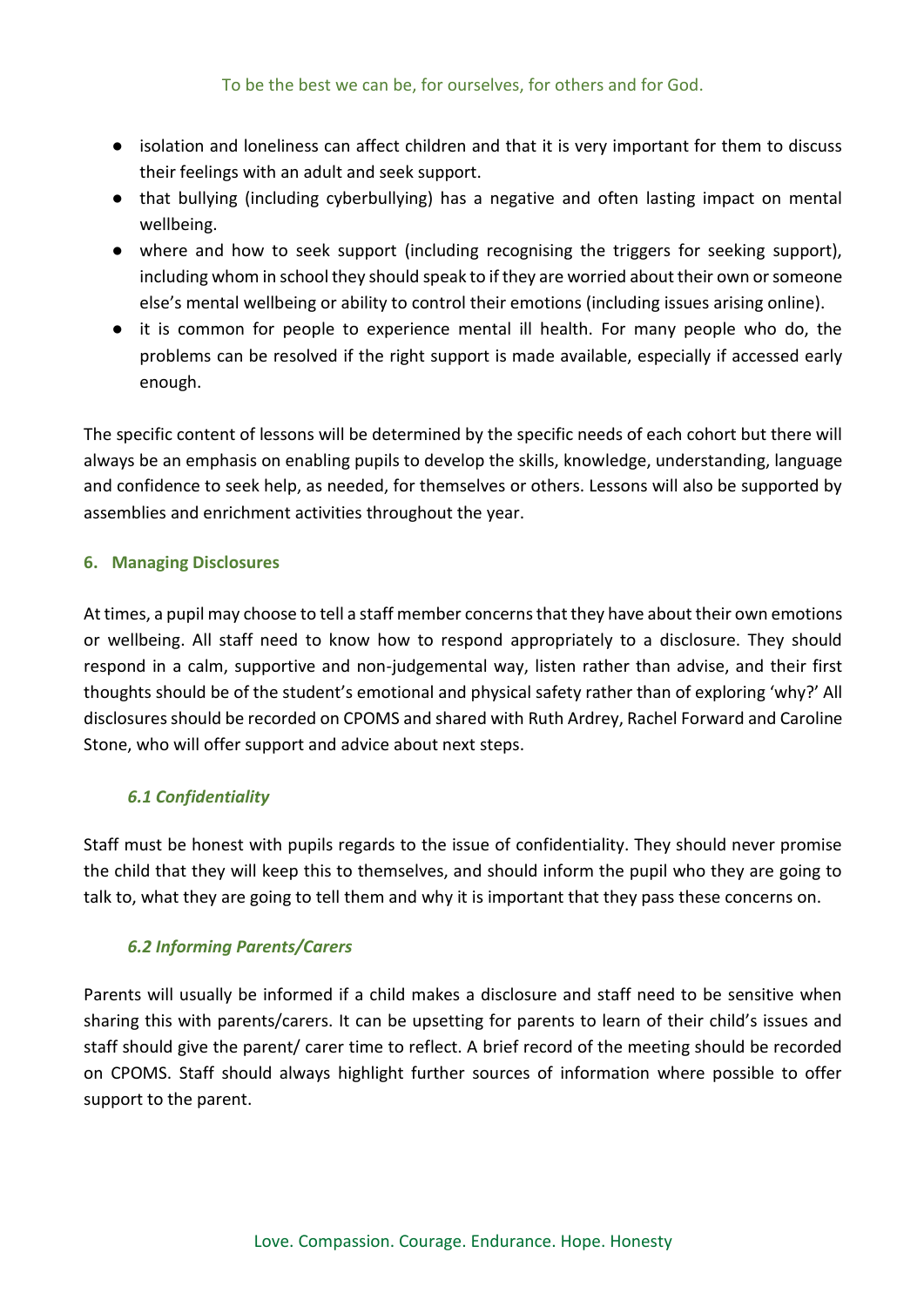- isolation and loneliness can affect children and that it is very important for them to discuss their feelings with an adult and seek support.
- that bullying (including cyberbullying) has a negative and often lasting impact on mental wellbeing.
- where and how to seek support (including recognising the triggers for seeking support), including whom in school they should speak to if they are worried about their own or someone else's mental wellbeing or ability to control their emotions (including issues arising online).
- it is common for people to experience mental ill health. For many people who do, the problems can be resolved if the right support is made available, especially if accessed early enough.

The specific content of lessons will be determined by the specific needs of each cohort but there will always be an emphasis on enabling pupils to develop the skills, knowledge, understanding, language and confidence to seek help, as needed, for themselves or others. Lessons will also be supported by assemblies and enrichment activities throughout the year.

#### **6. Managing Disclosures**

At times, a pupil may choose to tell a staff member concerns that they have about their own emotions or wellbeing. All staff need to know how to respond appropriately to a disclosure. They should respond in a calm, supportive and non-judgemental way, listen rather than advise, and their first thoughts should be of the student's emotional and physical safety rather than of exploring 'why?' All disclosures should be recorded on CPOMS and shared with Ruth Ardrey, Rachel Forward and Caroline Stone, who will offer support and advice about next steps.

#### *6.1 Confidentiality*

Staff must be honest with pupils regards to the issue of confidentiality. They should never promise the child that they will keep this to themselves, and should inform the pupil who they are going to talk to, what they are going to tell them and why it is important that they pass these concerns on.

#### *6.2 Informing Parents/Carers*

Parents will usually be informed if a child makes a disclosure and staff need to be sensitive when sharing this with parents/carers. It can be upsetting for parents to learn of their child's issues and staff should give the parent/ carer time to reflect. A brief record of the meeting should be recorded on CPOMS. Staff should always highlight further sources of information where possible to offer support to the parent.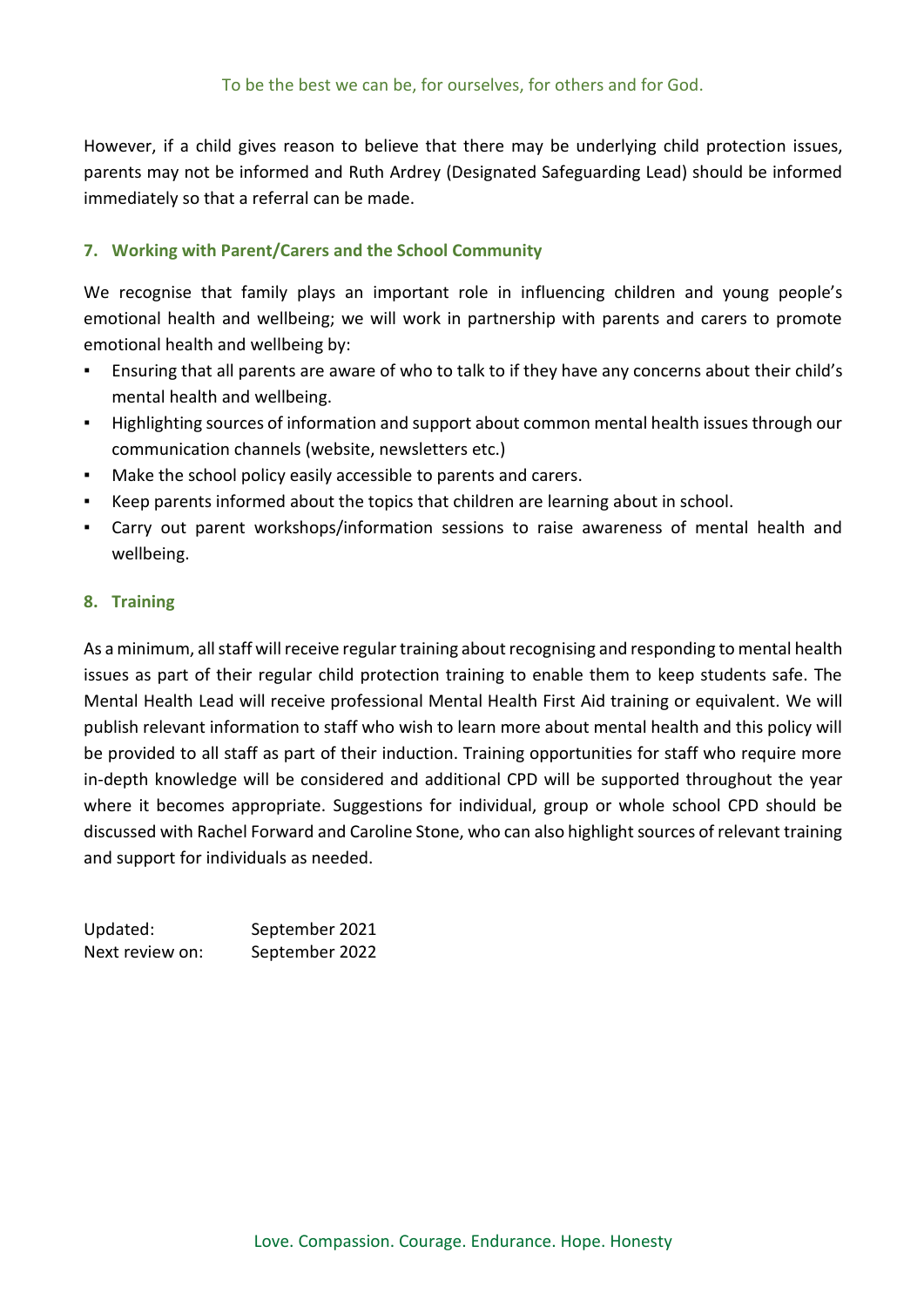However, if a child gives reason to believe that there may be underlying child protection issues, parents may not be informed and Ruth Ardrey (Designated Safeguarding Lead) should be informed immediately so that a referral can be made.

#### **7. Working with Parent/Carers and the School Community**

We recognise that family plays an important role in influencing children and young people's emotional health and wellbeing; we will work in partnership with parents and carers to promote emotional health and wellbeing by:

- Ensuring that all parents are aware of who to talk to if they have any concerns about their child's mental health and wellbeing.
- Highlighting sources of information and support about common mental health issues through our communication channels (website, newsletters etc.)
- Make the school policy easily accessible to parents and carers.
- Keep parents informed about the topics that children are learning about in school.
- Carry out parent workshops/information sessions to raise awareness of mental health and wellbeing.

#### **8. Training**

As a minimum, all staff will receive regular training about recognising and responding to mental health issues as part of their regular child protection training to enable them to keep students safe. The Mental Health Lead will receive professional Mental Health First Aid training or equivalent. We will publish relevant information to staff who wish to learn more about mental health and this policy will be provided to all staff as part of their induction. Training opportunities for staff who require more in-depth knowledge will be considered and additional CPD will be supported throughout the year where it becomes appropriate. Suggestions for individual, group or whole school CPD should be discussed with Rachel Forward and Caroline Stone, who can also highlight sources of relevant training and support for individuals as needed.

| Updated:        | September 2021 |
|-----------------|----------------|
| Next review on: | September 2022 |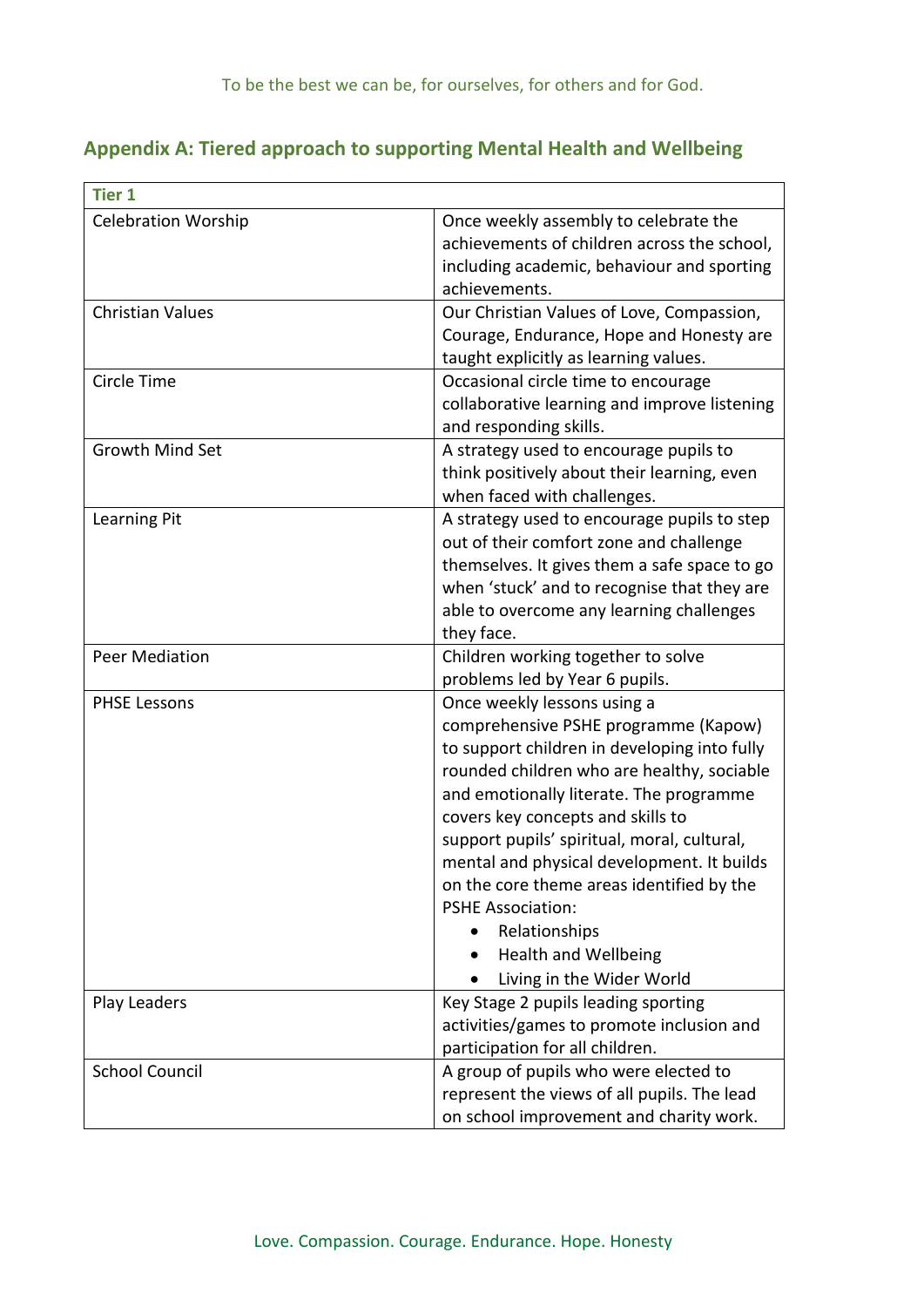## **Appendix A: Tiered approach to supporting Mental Health and Wellbeing**

| <b>Tier 1</b>              |                                                                                                                                                                                                                                                                                                                                                                                                                                                                                                                   |
|----------------------------|-------------------------------------------------------------------------------------------------------------------------------------------------------------------------------------------------------------------------------------------------------------------------------------------------------------------------------------------------------------------------------------------------------------------------------------------------------------------------------------------------------------------|
| <b>Celebration Worship</b> | Once weekly assembly to celebrate the<br>achievements of children across the school,<br>including academic, behaviour and sporting<br>achievements.                                                                                                                                                                                                                                                                                                                                                               |
| <b>Christian Values</b>    | Our Christian Values of Love, Compassion,<br>Courage, Endurance, Hope and Honesty are<br>taught explicitly as learning values.                                                                                                                                                                                                                                                                                                                                                                                    |
| Circle Time                | Occasional circle time to encourage<br>collaborative learning and improve listening<br>and responding skills.                                                                                                                                                                                                                                                                                                                                                                                                     |
| <b>Growth Mind Set</b>     | A strategy used to encourage pupils to<br>think positively about their learning, even<br>when faced with challenges.                                                                                                                                                                                                                                                                                                                                                                                              |
| Learning Pit               | A strategy used to encourage pupils to step<br>out of their comfort zone and challenge<br>themselves. It gives them a safe space to go<br>when 'stuck' and to recognise that they are<br>able to overcome any learning challenges<br>they face.                                                                                                                                                                                                                                                                   |
| <b>Peer Mediation</b>      | Children working together to solve<br>problems led by Year 6 pupils.                                                                                                                                                                                                                                                                                                                                                                                                                                              |
| <b>PHSE Lessons</b>        | Once weekly lessons using a<br>comprehensive PSHE programme (Kapow)<br>to support children in developing into fully<br>rounded children who are healthy, sociable<br>and emotionally literate. The programme<br>covers key concepts and skills to<br>support pupils' spiritual, moral, cultural,<br>mental and physical development. It builds<br>on the core theme areas identified by the<br><b>PSHE Association:</b><br>Relationships<br><b>Health and Wellbeing</b><br>$\bullet$<br>Living in the Wider World |
| Play Leaders               | Key Stage 2 pupils leading sporting<br>activities/games to promote inclusion and<br>participation for all children.                                                                                                                                                                                                                                                                                                                                                                                               |
| <b>School Council</b>      | A group of pupils who were elected to<br>represent the views of all pupils. The lead<br>on school improvement and charity work.                                                                                                                                                                                                                                                                                                                                                                                   |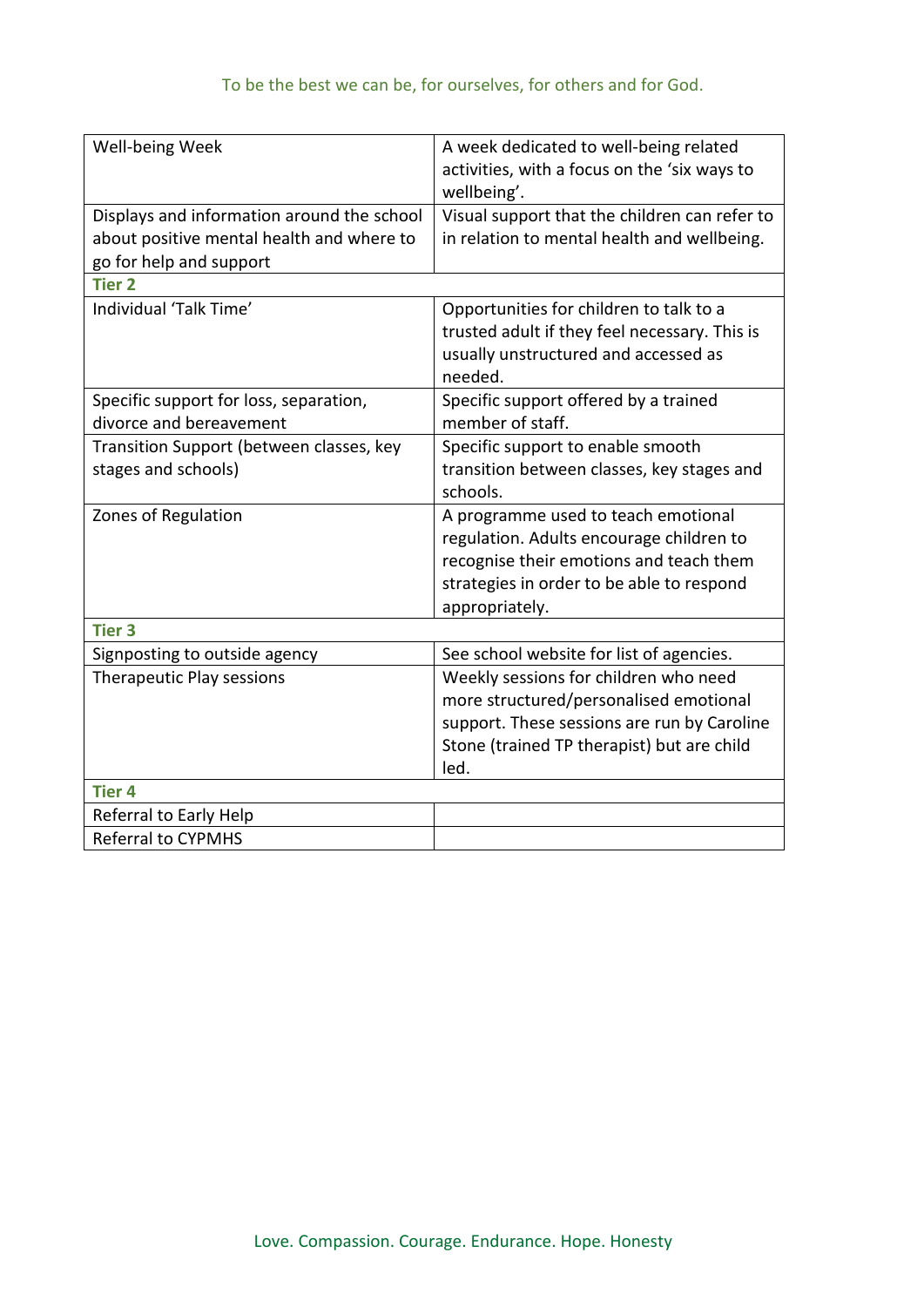| Well-being Week                            | A week dedicated to well-being related<br>activities, with a focus on the 'six ways to<br>wellbeing'. |
|--------------------------------------------|-------------------------------------------------------------------------------------------------------|
| Displays and information around the school | Visual support that the children can refer to                                                         |
| about positive mental health and where to  | in relation to mental health and wellbeing.                                                           |
| go for help and support                    |                                                                                                       |
| <b>Tier 2</b>                              |                                                                                                       |
| Individual 'Talk Time'                     | Opportunities for children to talk to a                                                               |
|                                            | trusted adult if they feel necessary. This is                                                         |
|                                            | usually unstructured and accessed as                                                                  |
|                                            | needed.                                                                                               |
| Specific support for loss, separation,     | Specific support offered by a trained                                                                 |
| divorce and bereavement                    | member of staff.                                                                                      |
| Transition Support (between classes, key   | Specific support to enable smooth                                                                     |
| stages and schools)                        | transition between classes, key stages and                                                            |
|                                            | schools.                                                                                              |
| Zones of Regulation                        | A programme used to teach emotional                                                                   |
|                                            | regulation. Adults encourage children to                                                              |
|                                            | recognise their emotions and teach them                                                               |
|                                            | strategies in order to be able to respond                                                             |
|                                            | appropriately.                                                                                        |
| <b>Tier 3</b>                              |                                                                                                       |
| Signposting to outside agency              | See school website for list of agencies.                                                              |
| <b>Therapeutic Play sessions</b>           | Weekly sessions for children who need                                                                 |
|                                            | more structured/personalised emotional                                                                |
|                                            | support. These sessions are run by Caroline                                                           |
|                                            | Stone (trained TP therapist) but are child                                                            |
|                                            | led.                                                                                                  |
| <b>Tier 4</b>                              |                                                                                                       |
| Referral to Early Help                     |                                                                                                       |
| <b>Referral to CYPMHS</b>                  |                                                                                                       |